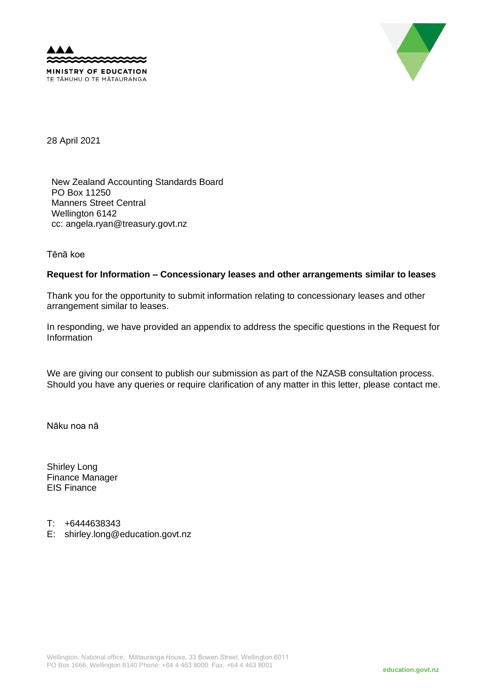



28 April 2021

New Zealand Accounting Standards Board PO Box 11250 Manners Street Central Wellington 6142 cc: angela.ryan@treasury.govt.nz

Tēnā koe

## **Request for Information – Concessionary leases and other arrangements similar to leases**

Thank you for the opportunity to submit information relating to concessionary leases and other arrangement similar to leases.

In responding, we have provided an appendix to address the specific questions in the Request for Information

We are giving our consent to publish our submission as part of the NZASB consultation process. Should you have any queries or require clarification of any matter in this letter, please contact me.

Nāku noa nā

Shirley Long Finance Manager EIS Finance

- T: +6444638343
- E: shirley.long@education.govt.nz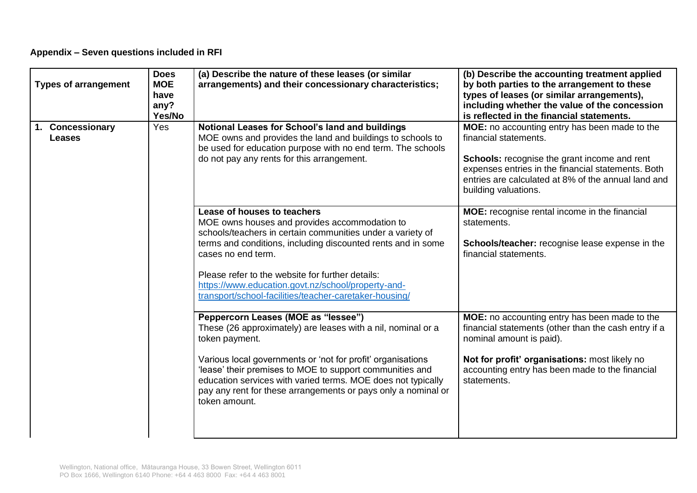## **Appendix – Seven questions included in RFI**

| <b>Types of arrangement</b>       | <b>Does</b><br><b>MOE</b><br>have<br>any?<br>Yes/No | (a) Describe the nature of these leases (or similar<br>arrangements) and their concessionary characteristics;                                                                                                                                                                                                                                                                                        | (b) Describe the accounting treatment applied<br>by both parties to the arrangement to these<br>types of leases (or similar arrangements),<br>including whether the value of the concession<br>is reflected in the financial statements.                    |
|-----------------------------------|-----------------------------------------------------|------------------------------------------------------------------------------------------------------------------------------------------------------------------------------------------------------------------------------------------------------------------------------------------------------------------------------------------------------------------------------------------------------|-------------------------------------------------------------------------------------------------------------------------------------------------------------------------------------------------------------------------------------------------------------|
| 1. Concessionary<br><b>Leases</b> | <b>Yes</b>                                          | Notional Leases for School's land and buildings<br>MOE owns and provides the land and buildings to schools to<br>be used for education purpose with no end term. The schools<br>do not pay any rents for this arrangement.                                                                                                                                                                           | MOE: no accounting entry has been made to the<br>financial statements.<br>Schools: recognise the grant income and rent<br>expenses entries in the financial statements. Both<br>entries are calculated at 8% of the annual land and<br>building valuations. |
|                                   |                                                     | Lease of houses to teachers<br>MOE owns houses and provides accommodation to<br>schools/teachers in certain communities under a variety of<br>terms and conditions, including discounted rents and in some<br>cases no end term.<br>Please refer to the website for further details:<br>https://www.education.govt.nz/school/property-and-<br>transport/school-facilities/teacher-caretaker-housing/ | MOE: recognise rental income in the financial<br>statements.<br>Schools/teacher: recognise lease expense in the<br>financial statements.                                                                                                                    |
|                                   |                                                     | Peppercorn Leases (MOE as "lessee")<br>These (26 approximately) are leases with a nil, nominal or a<br>token payment.<br>Various local governments or 'not for profit' organisations<br>'lease' their premises to MOE to support communities and<br>education services with varied terms. MOE does not typically<br>pay any rent for these arrangements or pays only a nominal or<br>token amount.   | MOE: no accounting entry has been made to the<br>financial statements (other than the cash entry if a<br>nominal amount is paid).<br>Not for profit' organisations: most likely no<br>accounting entry has been made to the financial<br>statements.        |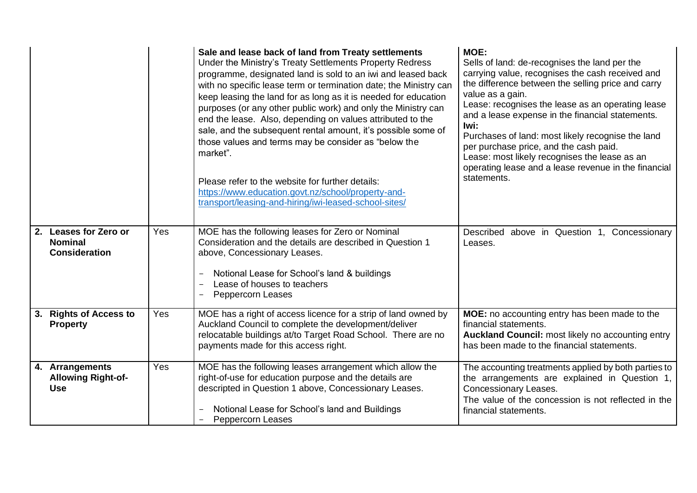|                                                                 |     | Sale and lease back of land from Treaty settlements<br>Under the Ministry's Treaty Settlements Property Redress<br>programme, designated land is sold to an iwi and leased back<br>with no specific lease term or termination date; the Ministry can<br>keep leasing the land for as long as it is needed for education<br>purposes (or any other public work) and only the Ministry can<br>end the lease. Also, depending on values attributed to the<br>sale, and the subsequent rental amount, it's possible some of<br>those values and terms may be consider as "below the<br>market".<br>Please refer to the website for further details:<br>https://www.education.govt.nz/school/property-and-<br>transport/leasing-and-hiring/iwi-leased-school-sites/ | MOE:<br>Sells of land: de-recognises the land per the<br>carrying value, recognises the cash received and<br>the difference between the selling price and carry<br>value as a gain.<br>Lease: recognises the lease as an operating lease<br>and a lease expense in the financial statements.<br>lwi:<br>Purchases of land: most likely recognise the land<br>per purchase price, and the cash paid.<br>Lease: most likely recognises the lease as an<br>operating lease and a lease revenue in the financial<br>statements. |
|-----------------------------------------------------------------|-----|----------------------------------------------------------------------------------------------------------------------------------------------------------------------------------------------------------------------------------------------------------------------------------------------------------------------------------------------------------------------------------------------------------------------------------------------------------------------------------------------------------------------------------------------------------------------------------------------------------------------------------------------------------------------------------------------------------------------------------------------------------------|-----------------------------------------------------------------------------------------------------------------------------------------------------------------------------------------------------------------------------------------------------------------------------------------------------------------------------------------------------------------------------------------------------------------------------------------------------------------------------------------------------------------------------|
| 2. Leases for Zero or<br><b>Nominal</b><br><b>Consideration</b> | Yes | MOE has the following leases for Zero or Nominal<br>Consideration and the details are described in Question 1<br>above, Concessionary Leases.<br>Notional Lease for School's land & buildings<br>Lease of houses to teachers<br>Peppercorn Leases                                                                                                                                                                                                                                                                                                                                                                                                                                                                                                              | Described above in Question 1, Concessionary<br>Leases.                                                                                                                                                                                                                                                                                                                                                                                                                                                                     |
| 3. Rights of Access to<br><b>Property</b>                       | Yes | MOE has a right of access licence for a strip of land owned by<br>Auckland Council to complete the development/deliver<br>relocatable buildings at/to Target Road School. There are no<br>payments made for this access right.                                                                                                                                                                                                                                                                                                                                                                                                                                                                                                                                 | MOE: no accounting entry has been made to the<br>financial statements.<br>Auckland Council: most likely no accounting entry<br>has been made to the financial statements.                                                                                                                                                                                                                                                                                                                                                   |
| 4. Arrangements<br><b>Allowing Right-of-</b><br><b>Use</b>      | Yes | MOE has the following leases arrangement which allow the<br>right-of-use for education purpose and the details are<br>descripted in Question 1 above, Concessionary Leases.<br>Notional Lease for School's land and Buildings<br><b>Peppercorn Leases</b>                                                                                                                                                                                                                                                                                                                                                                                                                                                                                                      | The accounting treatments applied by both parties to<br>the arrangements are explained in Question 1,<br><b>Concessionary Leases.</b><br>The value of the concession is not reflected in the<br>financial statements.                                                                                                                                                                                                                                                                                                       |